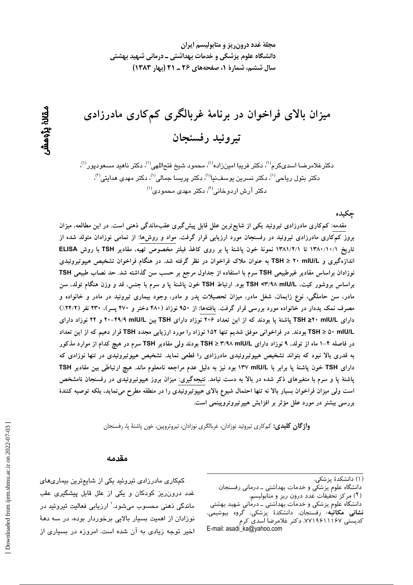مجلهٔ غدد درون ریز و متابولیسم ایران دانشگاه علوم پزشکی و خدمات بهداشتی ــ درمانی شهید بهشتی سال ششم، شمارة 1، صفحههای ۲۶ ـ ۲۱ (بهار ۱۳۸۳)

میزان بالای فراخوان در برنامهٔ غربالگری کمکاری مادرزادی تيروئيد رفسنجان

دكترغلامرضا اسدىكرم<sup>(۱)</sup>، دكتر فريبا امينزاده<sup>(۱)</sup>، محمود شيخ فتحاللهي<sup>(۱)</sup>، دكتر ناهيد مسعوديور<sup>(۱)</sup>، دکتر بتول ریاحی<sup>(۱)</sup>، دکتر نسرین یوسف $\omega^{(1)}$ ، دکتر پریسا جمالی $^{(1)}$ ، دکتر مهدی هدایتی $^{(2)}$ ،  $^{(1)}$ دکتر آرش اردوخانی $^{(7)}$ ، دکتر مهدی محمودی

جكىدە

مقدمه: کم کاری مادرزادی تیروئید یکی از شایع ترین علل قابل پیش گیری عقبماندگی ذهنی است. در این مطالعه، میزان بروز کمکاری مادرزادی تیروئید در رفسنجان مورد ارزیابی قرار گرفت. مواد و روش۵ا: از تمامی نوزادان متولد شده از تاريخ ١٣٨٠/١٠/١ تا ١٣٨١/٢/١ نمونة خون پاشنة پا بر روى كاغذ فيلتر مخصوص تهيه، مقادير TSH با روش ELISA اندازهگیری و TSH ≥ ۲۰ mIU/L به عنوان ملاک فراخوان در نظر گرفته شد. در هنگام فراخوان تشخیص هیپوتیروئیدی نوزادان براساس مقادیر غیرطبیعی TSH سرم با استفاده از جداول مرجع بر حسب سن گذاشته شد. حد نصاب طبیعی TSH براساس بروشور كيت، TSH <۳/۹۸ mlU/L بود. ارتباط TSH خون پاشنهٔ پا و سرم با جنس، قد و وزن هنگام تولد، سن مادر، سن حاملگی، نوع زایمان، شغل مادر، میزان تحصیلات پدر و مادر، وجود بیماری تیروئید در مادر و خانواده و مصرف نمک یددار در خانواده مورد بررسی قرار گرفت. یافتهها: از ۹۵۰ نوزاد (۴۸۰ دختر و ۴۷۰ پسر)، ۲۳۰ نفر (۲۴/۲٪) دارای TSH ≥۲۰ mIU/L پاشنهٔ پا بودند که از این تعداد ۲۰۶ نوزاد دارای TSH بین H۹/۹ mIU/L و ۲۴ نوزاد دارای TSH ≥ ۵۰ mIU/L بودند. در فراخوانی موفق شدیم تنها ۱۵۲ نوزاد را مورد ارزیابی مجدد TSH قرار دهیم که از این تعداد در فاصله ۴−۱ ماه از تولد، ۹ نوزاد دارای TSH ≥ ۳/۹۸ mIU/L بودند ولی مقادیر TSH سرم در هیچ کدام از موارد مذکور به قدری بالا نبود که بتواند تشخیص هیپوتیروئیدی مادرزادی را قطعی نماید. تشخیص هیپوتیروئیدی در تنها نوزادی که دارای TSH خون پاشنهٔ پا برابر با ۱۳۷ mIU/L بود نیز به دلیل عدم مراجعه نامعلوم ماند. هیچ ارتباطی بین مقادیر TSH پاشنهٔ پا و سرم با متغیرهای ذکر شده در بالا به دست نیامد. نتیجهگیری: میزان بروز هیپوتیروئیدی در رفسنجان نامشخص است ولی میزان فراخوان بسیار بالا نه تنها احتمال شیوع بالای هیپوتیروئیدی را در منطقه مطرح می نماید، بلکه توصیه کنندهٔ بررسی بیشتر در مورد علل مؤثر بر افزایش هیپرتیروتروپینمی است.

واژگان کلیدی: کمکاری تیروئید نوزادان، غربالگری نوزادان، تیروتروپین، خون پاشنهٔ پا، رفسنجان

#### مقدمه

دانشگاه علوم پزشکی و خدمات بهداشتی ـ درمانی رفسنجان

دانشگاه علوم پزشکی و خدمات بهداشتی ــ درمانی شهید بهشتی **نشانی مکاتبه**، رفسنجان، دانشکدهٔ پزشکی، گروه بیوشیمی، کدیستی ۷۷۱۹۶۱۱۱۶۷، دکتر غلامرضا اسدی کرم E-mail: asadi ka@vahoo.com

کمکاری مادرزادی تیروئید یکی از شایعترین بیماریهای غدد درونرریز کودکان و یکی از علل قابل پیشگیری عقب ماندگی ذهنی محسوب میشود.' ارزیابی فعالیت تیروئید در نوزادان از اهمیت بسیار بالایی برخوردار بوده، در سه دههٔ اخیر توجه زیادی به آن شده است. امروزه در بسیاری از

<sup>(</sup>۱) دانشکدهٔ پزشکی،

<sup>(</sup>٢) مركز تحقيقات عدد درون ريز و متآبوليسم،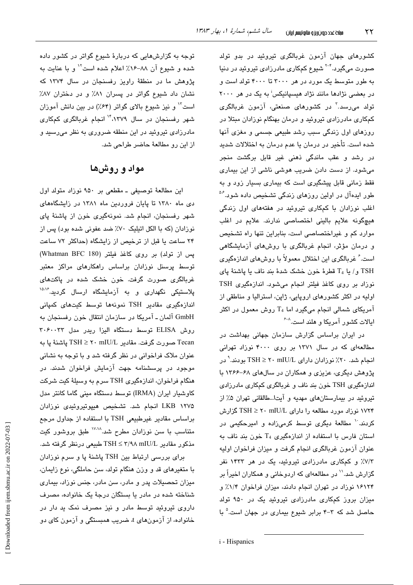کشورهای جهان آزمون غربالگری تیروئید در بدو تولد صورت میگیرد.<sup>۲-۲</sup> شیوع کمکاری مادرزادی تیروئید در دنیا به طور متوسط یک مورد در هر ۳۰۰۰ تا ۴۰۰۰ تولد است و در بعضی نژادها مانند نژاد هیسپانیکس<sup>:</sup> به یک در هر ۲۰۰۰ تولد می٫رسد.<sup>۳</sup> در کشورها*ی* صنعتی، آزمون غربالگری کمکاری مادرزادی تیروئید و درمان بهنگام نوزادان مبتلا در روزهای اول زندگی سبب رشد طبیعی جسمی و مغزی آنها شده است. تأخیر در درمان یا عدم درمان به اختلالات شدید در رشد و عقب ماندگی ذهنی غیر قابل برگشت منجر میشود. از دست دادن ضریب هوشی ناشی از این بیماری فقط زمانی قابل پیشگیری است که بیماری بسیار زود و به طور ایدهآل در اولین روزهای زندگی تشخیص داده شود.<sup>۵۶</sup> اغلب نوزادان با کمکاری تیروئید در هفتههای اول زندگی هیچگونه علایم بالینی اختصاصی ندارند. علایم در اغلب موارد کم و غیراختصاصی است، بنابراین تنها راه تشخیص و درمان مؤثر، انجام غربالگری با روشهای آزمایشگاهی است. ٔ غربالگری این اختلال معمولاً با روشهای اندازهگیری  $T_4$  و/ يا  $T_4$  قطرهٔ خون خشک شدهٔ بند ناف با پاشنهٔ پای نوزاد بر روی کاغذ فیلتر انجام میشود. اندازهگیری TSH اولیه در اکثر کشورهای اروپایی، ژاپن، استرالیا و مناطقی از آمریکای شمالی انجام میگیرد اما T<sub>4</sub> روش معمول در اکثر ایالات کشور آمریکا و هلند است.<sup>^-۶</sup>

در ایران براساس گزارش سازمان جهانی بهداشت در مطالعهای که در سال ۱۳۷۱ بر روی ۴۰۰۰ نوزاد تهرانی انجام شد. ۲۰٪ نوزادان دارای r mIU/L ۲۰ ⊡ بودند. ٌ در پژوهش دیگری، عزیزی و همکاران در سالهای ۶۸-۱۳۶۶ با اندازهگیری TSH خون بند ناف و غربالگری کمکاری مادرزادی تیروئید در بیمارستانهای مهدیه و آیتا...طالقانی تهران ۵٪ از ۱۷۲۴ نوزاد مورد مطالعه را دارای mIU/L ۲۰ mIU گزارش کردند. `` مطالعهٔ دیگری توسط کرمی;زاده و امیرحکیمی در استان فارس با استفاده از اندازهگیری T4 خون بند ناف به عنوان آزمون غربالگری انجام گرفت و میزان فراخوان اولیه ۷/۳٪ و کمکاری مادرزادی تیروئید، یک در هر ۱۴۳۳ نفر گزارش شد.'` در مطالعهای که اردوخانی و همکاران اخیراً بر ۱۶۱۲۴ نوزاد در تهران انجام دادند، میزان فراخوان ۱/۴٪ و میزان بروز کمکاری مادرزادی تیروئید یک در ۹۵۰ تولد حاصل شد که ۳-۴ برابر شیوع بیماری در جهان است.<sup>۵</sup> با

توجه به گزارشهایی که دربارهٔ شیوع گواتر در کشور داده شده و شیوع آن ۸۸-۱۶٪ اعلام شده است ۱٬ و با عنایت به پژوهش ما در منطقهٔ راویز رفسنجان در سال ۱۳۷۴ که نشان داد شیوع گواتر در پسران ۸٪ و در دختران ۸۷٪ است" و نیز شیوع بالای گواتر (۶۴٪) در بین دانش آموزان شهر رفسنجان در سال ۱۳۷۹،<sup>۱۴</sup> انجام غربالگری کمکاری مادرزادی تیروئید در این منطقه ضروری به نظر میرسید و از این رو مطالعهٔ حاضر طراحی شد.

# مواد و روشها

این مطالعهٔ توصیفی ـ مقطعی بر ۹۵۰ نوزاد متولد اول دی ماه ۱۳۸۰ تا پایان فروردین ماه ۱۳۸۱ در زایشگاههای شهر رفسنجان، انجام شد. نمونهگیری خون از پاشنهٔ پای نوزادان (که با الکل اتیلیک ۷۰٪ ضد عفونی شده بود) پس از ۲۴ ساعت یا قبل از ترخیص از زایشگاه (حداکثر ۷۲ ساعت يس از تولد) بر روى كاغذ فيلتر (Whatman BFC 180) توسط پرسنل نوزادان براساس راهکارهای مراکز معتبر غربالگری صورت گرفت. خون خشک شده در پاکتهای پلاستیکی نگهداری و به آزمایشگاه ارسال گردید.<sup>۱۵،۷</sup> اندازەگیری مقادیر TSH نمونەھا توسط کیتھای کمپانی GmbH آلمان ـ آمريكا در سازمان انتقال خون رفسنجان به روش ELISA توسط دستگاه الیزا ریدر مدل ۳۰۶۰۰۳۳ Tecan صورت گرفت. مقادیر TSH ≥ ۲۰ mIU/L پاشنهٔ پا به عنوان ملاک فراخوانی در نظر گرفته شد و با توجه به نشانی موجود در پرسشنامه جهت آزمایش فراخوان شدند. در هنگام فراخوان، اندازهگیری TSH سرم به وسیلهٔ کیت شرکت کاوشیار ایران (IRMA) توسط دستگاه مینی گاما کانتر مدل LKB ۱۲۷۵ انجام شد. تشخیص هیپوتیروئیدی نوزادان براساس مقادیر غیرطبیعی TSH با استفاده از جداول مرجع متناسب با سن نوزادان مطرح شد.<sup>۱۷٬۱۸</sup> طبق بروشور کیت مذکور مقادیر mIU/L ۳/۹۸ mIU/L طبیعی درنظر گرفته شد.

برای بررسی ارتباط بین TSH پاشنهٔ پا و سرم نوزادان با متغیرهای قد و وزن هنگام تولد، سن حاملگی، نوع زایمان، میزان تحصیلات پدر و مادر، سن مادر، جنس نوزاد، بیماری شناخته شده در مادر یا بستگان درجهٔ یک خانواده، مصرف داروی تیروئید توسط مادر و نیز مصرف نمک ید دار در خانواده، از آزمونهای t، ضریب همبستگی و آزمون کای دو

i - Hispanics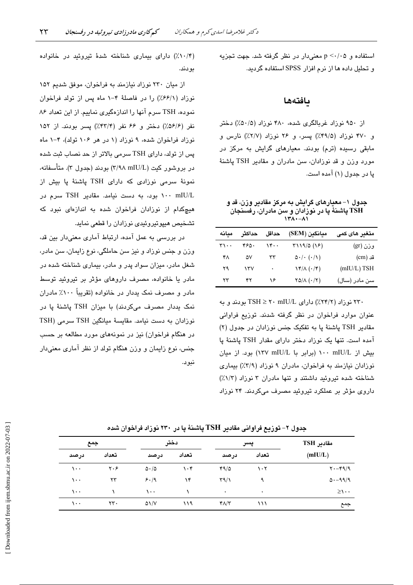استفاده و p <٠/٠۵ معنى دار در نظر گرفته شد. جهت تجزیه و تحلیل داده ها از نرم افزار SPSS استفاده گردید.

### بافتهها

از ۹۵۰ نوزاد غربالگری شده، ۴۸۰ نوزاد (۵۰/۵٪) دختر و ۴۷۰ نوزاد (۴۹/۵٪) پسر، و ۲۶ نوزاد (۲/۷٪) نارس و مابقی رسیده (ترم) بودند. معیارهای گرایش به مرکز در مورد وزن و قد نوزادان، سن مادران و مقادير TSH پاشنهٔ پا در جدول (۱) آمده است.

جدول ۱– معیارهای گرایش به مرکز مقادیر وزن، قد و TSH **پاشنهٔ پا در نوزادان و** سن مادران، رفسنجان  $\mathbf{X} \cdot - \mathbf{A} \cdot$ 

| معانه | حداكثر | حداقل | ميانگين (SEM)                                | متغىر ھاي كمي |
|-------|--------|-------|----------------------------------------------|---------------|
| ۳۱۰۰  | ۴۶۵۰   | ۱۴۰۰  | (۱۶) ۲۱۱۹/۵                                  | وزن (gr)      |
| ۴۸    | ۵۷     | ٣٣    | $\Delta$ . $\cdot$ ( $\cdot$ / $\setminus$ ) | قد (cm)       |
| ۲۹    | ۱۳۷    | ۰     | $\sqrt{\frac{\mu}{\lambda}(\cdot/\tau)}$     | $(mIU/L)$ TSH |
| ۲۳    | ۴۲     | ۱۶    | $YQ/\Lambda$ $( \cdot / Y)$                  | سن مادر (سال) |

۲۳۰ نوزاد (۲۴/۲٪) دارای TSH ≥ ۲۰ mIU/L بودند و به عنوان موارد فراخوان در نظر گرفته شدند. توزیع فراوانی مقادیر TSH پاشنهٔ یا به تفکیک جنس نوزادان در جدول (۲) آمده است. تنها یک نوزاد دختر دارای مقدار TSH پاشنهٔ پا ىيش از mIU/L ١٠٠ mIU/L (برابر با ١٣٧ ١٣٧) بود. از ميان نوزادان نیازمند به فراخوان، مادران ۹ نوزاد (۳/۹٪) بیماری شناخته شده تیروئید داشتند و تنها مادران ۳ نوزاد (۱/۳٪) داروی مؤثر بر عملکرد تیروئید مصرف میکردند. ۲۴ نوزاد

(۰/۴٪) دارای بیماری شناخته شدهٔ تیروئید در خانواده بودند.

از میان ۲۳۰ نوزاد نیازمند به فراخوان، موفق شدیم ۱۵۲ نوزاد (۶۶/۱٪) را در فاصلهٔ ۴-۱ ماه پس از تولد فراخوان نموده، TSH سرم آنها را اندازهگیری نماییم. از این تعداد ۸۶ نفر (۵۶/۶٪) دختر و ۶۶ نفر (۴۳/۴٪) پسر بودند. از ۱۵۲ نوزاد فراخوان شده، ۹ نوزاد (۱ در هر ۱۰۶ تولد)، ۴-۱ ماه یس از تولد، دارای TSH سرمی بالاتر از حد نصاب ثبت شده در بروشور کیت (٣/٩٨ mIU/L) بودند (جدول ٣). متأسفانه، نمونهٔ سرمی نوزادی که دارای TSH یاشنهٔ یا بیش از ۱۰۰ mIU/L بود، به دست نیامد. مقادیر TSH سرم در هیچکدام از نوزادان فراخوان شده به اندازهای نبود که تشخيص هيپوتيروئيدي نوزادان را قطعي نمايد.

در بررسی به عمل آمده، ارتباط آماری معنیدار بین قد، وزن و جنس نوزاد و نیز سن حاملگی، نوع زایمان، سن مادر، شغل مادر، میزان سواد پدر و مادر، بیماری شناخته شده در مادر یا خانواده، مصرف داروهای مؤثر بر تیروئید توسط مادر و مصرف نمک پددار در خانواده (تقریباً ۱۰۰٪ مادران نمک یددار مصرف میکردند) با میزان TSH پاشنهٔ یا در نوزادان به دست نيامد. مقايسة ميانگين TSH سرمي (TSH در هنگام فراخوان) نیز در نمونههای مورد مطالعه بر حسب جنس، نوع زایمان و وزن هنگام تولد از نظر آماری معنیدار نىو ب.

| مقادیر TSH          | پسر                             |              | دختر  |                         | جمع   |      |
|---------------------|---------------------------------|--------------|-------|-------------------------|-------|------|
| (mIU/L)             | تعداد                           | درصد         | تعداد | درصد                    | تعداد | درصد |
| $Y - f9/9$          | $\mathcal{N} \cdot \mathcal{N}$ | 49/0         | ۱۰۴   | $\Delta \cdot / \Delta$ | ۲۰۶   | ۰۰۱  |
| $\Delta - 99/9$     | ٩                               | $\Gamma$ 9/1 | ۱۴    | 5.19                    | ۲۳    | ۰۰۱  |
| $\geq \wedge \cdot$ | $\bullet$                       | ۰            |       | ۰۰ ۱                    |       | ۰۰۱  |
| جمع                 | ۱۱۱                             | $Y/\Upsilon$ | ۱۱۹   | $\Delta V/V$            | rr.   | ۰۰ ۱ |

جدول ۲– توزیع فراوانی مقادیر TSH پاشنهٔ پا در ۲۳۰ نوزاد فراخوان شده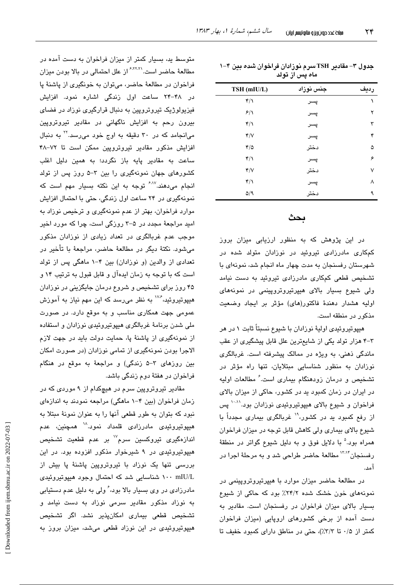| TSH (mIU/L)                 | جنس نوزاد | رديف |
|-----------------------------|-----------|------|
| $\mathfrak{r}/\mathfrak{r}$ | پسر       | ١    |
| 8/1                         | پسر       | ۲    |
| $\mathfrak{r}/\mathfrak{r}$ | پسر       | ٣    |
| Y/V                         | پسر       | ۴    |
| $\mathfrak{r}/\mathfrak{0}$ | دختر      | ۵    |
| $\mathbf{r}/\mathbf{v}$     | پسر       | ۶    |
| Y/V                         | دختر      | ٧    |
| $\mathfrak{r}/\mathfrak{r}$ | پسر       | ٨    |
| $\Delta$ /9                 | دختر      | ٩    |
|                             |           |      |

| جدول ۳– مقادیر TSH سرم نوزادان فراخوان شده بین ۴–۱ |  |
|----------------------------------------------------|--|
| ماه پس از تولد                                     |  |

## بحث

در این پژوهش که به منظور ارزیابی میزان بروز کمکاری مادرزادی تیروئید در نوزادان متولد شده در شهرستان رفسنجان به مدت چهار ماه انجام شد، نمونهای با تشخیص قطعی کمکاری مادرزادی تیروئید به دست نیامد ولی شیوع بسیار بالای هیپرتیروتروپینمی در نمونههای اوليه هشدار دهندهٔ فاكتور(های) مؤثر بر ایجاد وضعیت مذکور در منطقه است.

هیپوتیروئیدی اولیهٔ نوزادان با شیوع نسبتاً ثابت ۱ در هر ۳-۳ هزار تولد یکی از شایعترین علل قابل پیشگیری از عقب ماندگی ذهنی، به ویژه در ممالک پیشرفته است. غربالگری نوزادان به منظور شناسایی مبتلایان، تنها راه مؤثر در تشخیص و درمان زودهنگام بیماری است. ٔ مطالعات اولیه در ایران در زمان کمبود ید در کشور، حاکی از میزان بالای فراخوان و شیوع بالای هیپوتیروئیدی نوزادان بود.<sup>۱۰،۱۱</sup> پس از رفع کمبود ید در کشور، ۱٬ غربالگری بیماری مجدداً با شیوع بالای بیماری ولی کاهش قابل توجه در میزان فراخوان همراه بود.<sup>۵</sup> با دلایل فوق و به دلیل شیوع گواتر در منطقهٔ رفسنجان<sup>۱۳٬۱۴</sup> مطالعهٔ حاضر طراحی شد و به مرحلهٔ اجرا در آمد.

در مطالعهٔ حاضر میزان موارد با هیپرتیروتروپینمی در نمونههای خون خشک شده ۲۴/۲٪ بود که حاکی از شیوع بسیار بالای میزان فراخوان در رفسنجان است. مقادیر به دست آمده از برخی کشورهای اروپایی (میزان فراخوان کمتر از ۰/۵ تا ٣/٣٪)، حتى در مناطق داراى كمبود خفيف تا

متوسط ید، بسیار کمتر از میزان فراخوان به دست آمده در مطالعهٔ حاضر است.<sup>۶٬۲۲٬۲</sup>۱ز علل احتمالی در بالا بودن میزان فراخوان در مطالعهٔ حاضر، میتوان به خونگیری از پاشنهٔ پا در ۴۸-۲۴ ساعت اول زندگی اشاره نمود. افزایش فیزیولوژیک تیروتروپین به دنبال قرارگیری نوزاد در فضای بیرون رحم به افزایش ناگهانی در مقادیر تیروتروپین میانجامد که در ۳۰ دقیقه به اوج خود می رسد. ۲٬ به دنبال افزایش مذکور مقادیر تیروتروپین ممکن است تا ۷۲–۴۸ ساعت به مقادیر پایه باز نگردد؛ به همین دلیل اغلب کشورهای جهان نمونهگیری را بین ۳-۵ روز پس از تولد انجام می،دهند.<sup>۶٬۱۷</sup> توجه به این نکته بسیار مهم است که نمونهگیری در ۲۴ ساعت اول زندگی، حتی با احتمال افزایش موارد فراخوان، بهتر از عدم نمونهگیری و ترخیص نوزاد به امید مراجعهٔ مجدد در ۵–۳ روزگی است، چرا که مورد اخیر موجب عدم غربالگری در تعداد زیادی از نوزادان مذکور میشود. نکتهٔ دیگر در مطالعهٔ حاضر، مراجعهٔ با تأخیر در تعدادی از والدین (و نوزادان) بین ۴-۱ ماهگی پس از تولد است که با توجه به زمان ایدهآل و قابل قبول به ترتیب ۱۴ و ۴۵ روز برای تشخیص و شروع درمان جایگزینی در نوزادان هیپوتیروئید، گ<sup>۱۷۴</sup> به نظر می<sub>ا</sub>رسد که این مهم نیاز به آموزش عمومی جهت همکاری مناسب و به موقع دارد. در صورت ملی شدن برنامهٔ غربالگری هیپوتیروئیدی نوزادان و استفاده از نمونهگیری از پاشنهٔ یا، حمایت دولت باید در جهت لازم الاجرا بودن نمونهگیری از تمامی نوزادان (در صورت امکان بین روزهای ۳-۵ زندگی) و مراجعهٔ به موقع در هنگام فراخوان در هفتهٔ دوم زندگی باشد.

مقادیر تیروتروپین سرم در هیچکدام از ۹ موردی که در زمان فراخوان (بین ۴-۱ ماهگی) مراجعه نمودند به اندازهای نبود که بتوان به طور قطعی آنها را به عنوان نمونهٔ مبتلا به هیپوتیروئی*دی* مادرزادی قلمداد نمود.<sup>۱۸</sup> همچنین، عدم اندازهگیری تیروکسین سرم<sup>۱۷</sup> بر عدم قطعیت تشخیص هیپوتیروئیدی در ۹ شیرخوار مذکور افزوده بود. در این بررسی تنها یک نوزاد با تیروتروپین پاشنهٔ پا بیش از ۱۰۰ mIU/L شناسایی شد که احتمال وجود هیپوتیروئیدی مادرزادی در وی بسیار بالا بود، ٔ ولی به دلیل عدم دستیابی به نوزاد مذکور مقادیر سرمی نوزاد به دست نیامد و تشخیص قطعی بیماری امکانپذیر نشد. اگر تشخیص هیپوتیروئیدی در این نوزاد قطعی میشد، میزان بروز به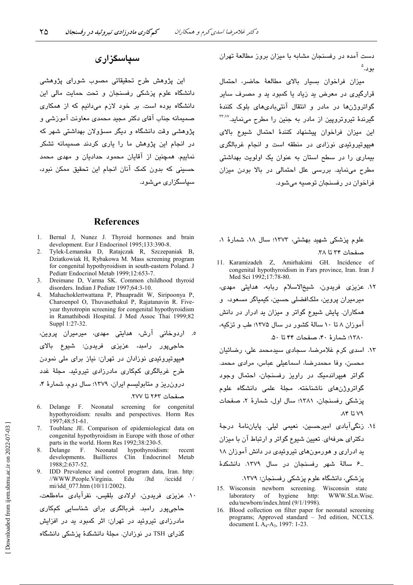سیاسگزاری میشود.

دست آمده در رفسنجان مشابه با میزان بروز مطالعهٔ تهران بود.°

میزان فراخوان بسیار بالای مطالعهٔ حاضر، احتمال قرارگیری در معرض ید زیاد یا کمبود ید و مصرف سایر گواتروژنها در مادر و انتقال آنتیبادیهای بلوک کنندهٔ گیرندهٔ تیروترویین از مادر به جنین را مطرح مینماید.<sup>۲۳٬۷</sup> این میزان فراخوان پیشنهاد کنندهٔ احتمال شیوع بالای هیپوتیروئیدی نوزادی در منطقه است و انجام غربالگری بیماری را در سطح استان به عنوان یک اولویت بهداشتی مطرح می نماید. بررسی علل احتمالی در بالا بودن میزان فراخوان در رفسنجان توصيه می شود.

#### **References**

- 1. Bernal J, Nunez J. Thyroid hormones and brain development. Eur J Endocrinol 1995;133:390-8.
- 2. Tylek-Lemanska D, Ratajczak R, Szczepaniak B, Dziatkowiak H, Rybakowa M. Mass screening program for congenital hypothyroidism in south-eastern Poland. J Pediatr Endocrinol Metab 1999;12:653-7.
- $\mathcal{E}$ Dreimane D, Varma SK. Common childhood thyroid disorders. Indian J Pediatr 1997;64:3-10.
- Mahachoklertwattana P, Phuapradit W, Siripoonya P,  $\mathbf{\Delta}$ Charoenpol O, Thuvasethakul P, Rajatanavin R. Fiveyear thyrotropin screening for congenital hypothyroidism in Ramathibodi Hospital. J Med Assoc Thai 1999;82 Suppl 1:27-32.

ه. اردوخانی آرش، هدایتی مهدی، میرمیران پروین، حاجي،يور رامبد، عزيزي فريدون: شبوع بالاي هیپوتیروئیدی نوزادان در تهران: نیاز برای ملی نمودن طرح غربالگری کمکاری مادرزادی تیروئید. مجلهٔ غدد درون ریز و متابولیسم ایران، ۱۳۷۹؛ سال دوم، شمارهٔ ۴،

صفحات ٢۶٣ تا ٢٧٧.

- 6. Delange F. Neonatal screening for congenital hypothyroidism: results and perspectives. Horm Res 1997;48:51-61.
- Toublanc JE. Comparison of epidemiological data on  $7<sup>1</sup>$ congenital hypothyroidism in Europe with those of other parts in the world. Horm Res 1992;38:230-5.
- Neonatal hypothyroidism: Delange  $-F$ . recent Baillieres developments. Clin Endocrinol Metab 1988:2:637-52.
- 9. IDD Prevalence and control program data, Iran. http: //WWW.People.Virginia. Edu /Jtd /iccidd mi/idd 077.htm (10/11/2002)

```
۱۰. عزیزی فریدون، اولادی بلقیس، نفرآبادی ماهطلعت،
حاجےپور رامند. غربالگری برای شناسانی کمکاری
مادرزادی تیروئید در تهران: اثر کمبود ید در افزایش
گذرای TSH در نوزادان. مجلهٔ دانشکدهٔ پزشکی دانشگاه
```
علوم پزشکی شهید بهشتی، ۱۳۷۳؛ سال ۱۸، شمارهٔ ۱، صفحات ٣٣ تا ٣٨.

- 11. Karamizadeh Z, Amirhakimi GH. Incidence of congenital hypothyroidism in Fars province, Iran. Iran J Med Sci 1992;17:78-80.
- ١٢. عزیزی فریدون، شیخالاسلام ربابه، هدایتی مهدی، میرمیران پروین، ملکافضلی حسین، کیمیاگر مسعود، و همکاران. پایش شیوع گواتر و میزان ید ادرار در دانش آموزان ۸ تا ۱۰ سالهٔ کشور در سال ۱۳۷۵؛ طب و تزکیه، ١٣٨٠؛ شمارة ۴٠، صفحات ۴۴ تا ۵٠.
- ١٣. اسدى كرم غلامرضا، سجادى سيدمحمد على، رضائيان محسن، وفا محمدرضا، اسماعيلي عباس، مرادي محمد. گواتر هیپراندمیک در راویز رفسنجان، احتمال وجود گواتروژن،ای ناشناخته. مجلهٔ علمی دانشگاه علوم پزشکی رفسنجان، ۱۳۸۱؛ سال اول، شمارهٔ ۲، صفحات ۷۹ تا ۸۴.
- ١٤. زنگیآبادی امیرحسین، نعیمی لیلی. پایاننامهٔ درجهٔ دکترای حرفهای. تعیین شیوع گواتر و ارتباط آن با میزان ید ادراری و هورمونهای تیروئیدی در دانش آموزان ۱۸ ـ۶ سالهٔ شهر رفسنجان در سال ۱۳۷۹. دانشکدهٔ

- 15. Wisconsin newborn screening. Wisconsin state WWW.SLn.Wisc. laboratory of hygiene http: edu/newborn/index.html (9/1/1998).
- 16. Blood collection on filter paper for neonatal screening programs; Approved standard - 3rd edition, NCCLS. document L A<sub>4</sub>-A<sub>3</sub>, 1997: 1-23.

این پژوهش طرح تحقیقاتی مصوب شورای پژوهشی

دانشگاه علوم پزشکی رفسنجان و تحت حمایت مالی این

دانشگاه بوده است. بر خود لازم میدانیم که از همکاری

صمیمانه جناب آقای دکتر مجید محمدی معاونت آموزشی و

پژوهشی وقت دانشگاه و دیگر مسؤولان بهداشتی شهر که

در انجام این پژوهش ما را یاری کردند صمیمانه تشکر

نماییم. همچنین از آقایان محمود حدادیان و مهدی محمد

حسینی که بدون کمک آنان انجام این تحقیق ممکن نبود،